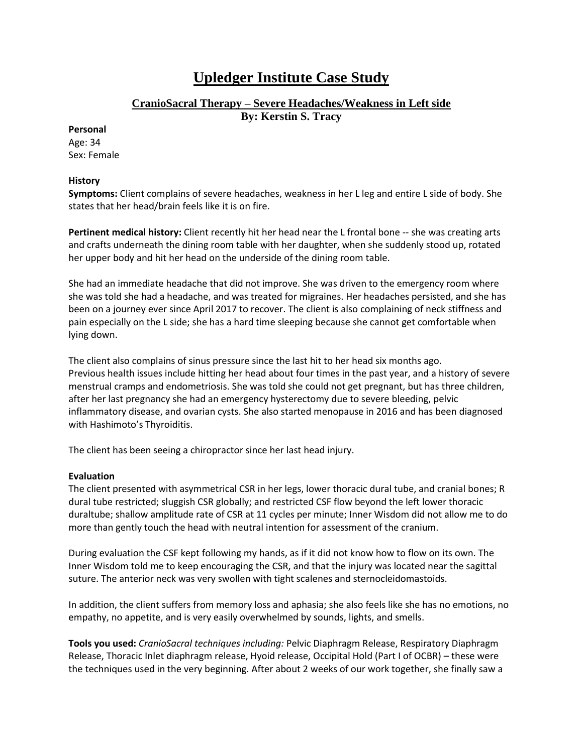# **Upledger Institute Case Study**

# **CranioSacral Therapy – Severe Headaches/Weakness in Left side By: Kerstin S. Tracy**

#### **Personal**

Age: 34 Sex: Female

## **History**

**Symptoms:** Client complains of severe headaches, weakness in her L leg and entire L side of body. She states that her head/brain feels like it is on fire.

Pertinent medical history: Client recently hit her head near the L frontal bone -- she was creating arts and crafts underneath the dining room table with her daughter, when she suddenly stood up, rotated her upper body and hit her head on the underside of the dining room table.

She had an immediate headache that did not improve. She was driven to the emergency room where she was told she had a headache, and was treated for migraines. Her headaches persisted, and she has been on a journey ever since April 2017 to recover. The client is also complaining of neck stiffness and pain especially on the L side; she has a hard time sleeping because she cannot get comfortable when lying down.

The client also complains of sinus pressure since the last hit to her head six months ago. Previous health issues include hitting her head about four times in the past year, and a history of severe menstrual cramps and endometriosis. She was told she could not get pregnant, but has three children, after her last pregnancy she had an emergency hysterectomy due to severe bleeding, pelvic inflammatory disease, and ovarian cysts. She also started menopause in 2016 and has been diagnosed with Hashimoto's Thyroiditis.

The client has been seeing a chiropractor since her last head injury.

## **Evaluation**

The client presented with asymmetrical CSR in her legs, lower thoracic dural tube, and cranial bones; R dural tube restricted; sluggish CSR globally; and restricted CSF flow beyond the left lower thoracic duraltube; shallow amplitude rate of CSR at 11 cycles per minute; Inner Wisdom did not allow me to do more than gently touch the head with neutral intention for assessment of the cranium.

During evaluation the CSF kept following my hands, as if it did not know how to flow on its own. The Inner Wisdom told me to keep encouraging the CSR, and that the injury was located near the sagittal suture. The anterior neck was very swollen with tight scalenes and sternocleidomastoids.

In addition, the client suffers from memory loss and aphasia; she also feels like she has no emotions, no empathy, no appetite, and is very easily overwhelmed by sounds, lights, and smells.

**Tools you used:** *CranioSacral techniques including:* Pelvic Diaphragm Release, Respiratory Diaphragm Release, Thoracic Inlet diaphragm release, Hyoid release, Occipital Hold (Part I of OCBR) – these were the techniques used in the very beginning. After about 2 weeks of our work together, she finally saw a